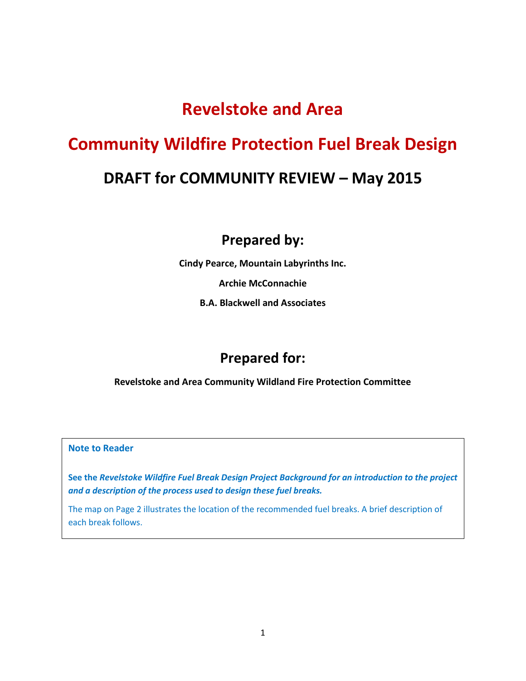# **Revelstoke and Area**

# **Community Wildfire Protection Fuel Break Design DRAFT for COMMUNITY REVIEW – May 2015**

## **Prepared by:**

**Cindy Pearce, Mountain Labyrinths Inc.** 

**Archie McConnachie** 

**B.A. Blackwell and Associates** 

# **Prepared for:**

**Revelstoke and Area Community Wildland Fire Protection Committee** 

#### **Note to Reader**

**See the** *Revelstoke Wildfire Fuel Break Design Project Background for an introduction to the project and a description of the process used to design these fuel breaks.*

The map on Page 2 illustrates the location of the recommended fuel breaks. A brief description of each break follows.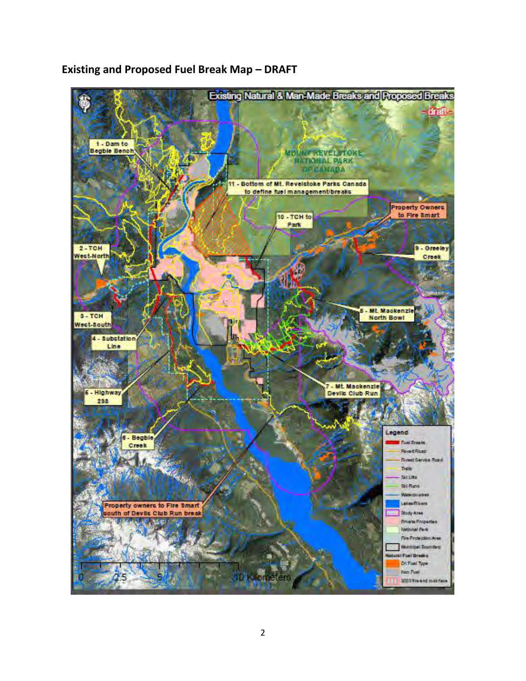

## **Existing and Proposed Fuel Break Map - DRAFT**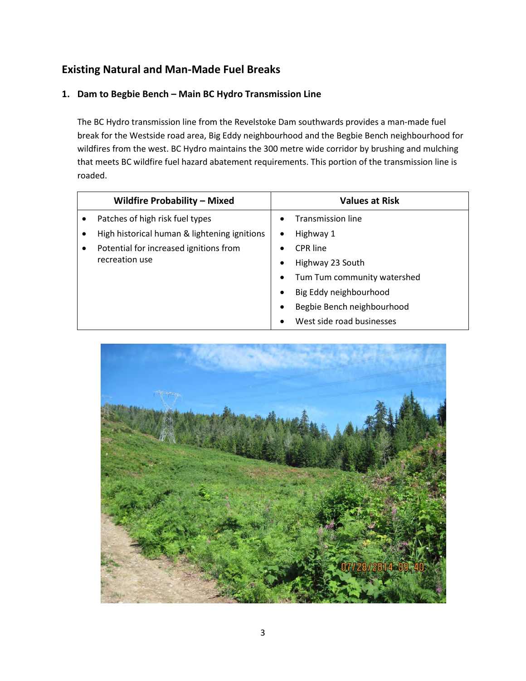## **Existing Natural and Man-Made Fuel Breaks**

#### **1. Dam to Begbie Bench – Main BC Hydro Transmission Line**

The BC Hydro transmission line from the Revelstoke Dam southwards provides a man-made fuel break for the Westside road area, Big Eddy neighbourhood and the Begbie Bench neighbourhood for wildfires from the west. BC Hydro maintains the 300 metre wide corridor by brushing and mulching that meets BC wildfire fuel hazard abatement requirements. This portion of the transmission line is roaded.

|   | <b>Wildfire Probability - Mixed</b>          |           | <b>Values at Risk</b>       |
|---|----------------------------------------------|-----------|-----------------------------|
|   | Patches of high risk fuel types              |           | <b>Transmission line</b>    |
|   | High historical human & lightening ignitions | ٠         | Highway 1                   |
| ٠ | Potential for increased ignitions from       | $\bullet$ | <b>CPR</b> line             |
|   | recreation use                               | $\bullet$ | Highway 23 South            |
|   |                                              | $\bullet$ | Tum Tum community watershed |
|   |                                              | $\bullet$ | Big Eddy neighbourhood      |
|   |                                              | $\bullet$ | Begbie Bench neighbourhood  |
|   |                                              |           | West side road businesses   |

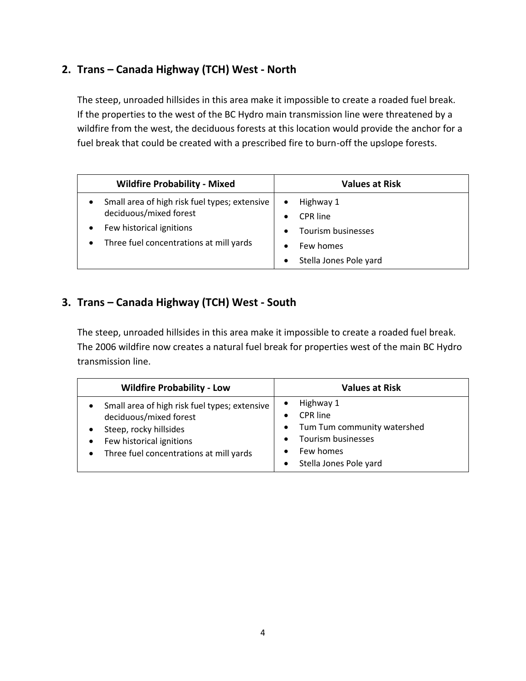## **2. Trans – Canada Highway (TCH) West - North**

The steep, unroaded hillsides in this area make it impossible to create a roaded fuel break. If the properties to the west of the BC Hydro main transmission line were threatened by a wildfire from the west, the deciduous forests at this location would provide the anchor for a fuel break that could be created with a prescribed fire to burn-off the upslope forests.

| <b>Wildfire Probability - Mixed</b>                                                                                                                         | <b>Values at Risk</b>                                                                           |
|-------------------------------------------------------------------------------------------------------------------------------------------------------------|-------------------------------------------------------------------------------------------------|
| Small area of high risk fuel types; extensive<br>deciduous/mixed forest<br>Few historical ignitions<br>Three fuel concentrations at mill yards<br>$\bullet$ | Highway 1<br>$\bullet$<br>CPR line<br>$\bullet$<br>Tourism businesses<br>$\bullet$<br>Few homes |
|                                                                                                                                                             | Stella Jones Pole yard<br>$\bullet$                                                             |

### **3. Trans – Canada Highway (TCH) West - South**

The steep, unroaded hillsides in this area make it impossible to create a roaded fuel break. The 2006 wildfire now creates a natural fuel break for properties west of the main BC Hydro transmission line.

| <b>Wildfire Probability - Low</b>                                                                                                                                                     | <b>Values at Risk</b>                                                                                                                                           |
|---------------------------------------------------------------------------------------------------------------------------------------------------------------------------------------|-----------------------------------------------------------------------------------------------------------------------------------------------------------------|
| Small area of high risk fuel types; extensive<br>deciduous/mixed forest<br>Steep, rocky hillsides<br>Few historical ignitions<br>Three fuel concentrations at mill yards<br>$\bullet$ | Highway 1<br>$\bullet$<br><b>CPR</b> line<br>Tum Tum community watershed<br>$\bullet$<br>Tourism businesses<br>$\bullet$<br>Few homes<br>Stella Jones Pole yard |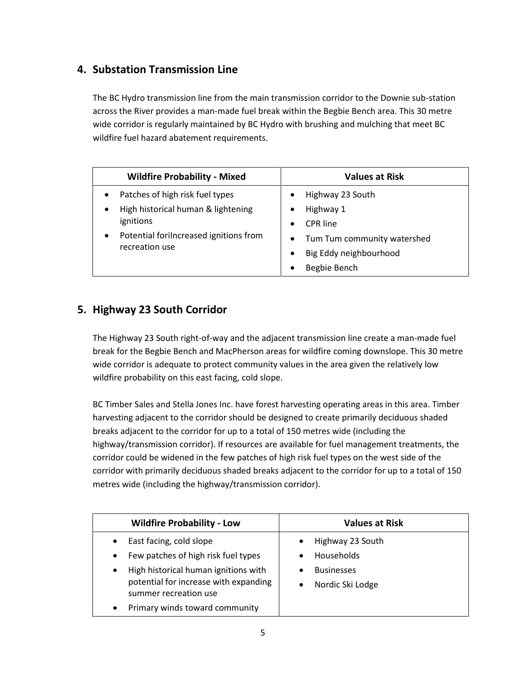### **4. Substation Transmission Line**

The BC Hydro transmission line from the main transmission corridor to the Downie sub-station across the River provides a man-made fuel break within the Begbie Bench area. This 30 metre wide corridor is regularly maintained by BC Hydro with brushing and mulching that meet BC wildfire fuel hazard abatement requirements.

| <b>Wildfire Probability - Mixed</b>          | <b>Values at Risk</b>                    |
|----------------------------------------------|------------------------------------------|
| Patches of high risk fuel types<br>$\bullet$ | Highway 23 South                         |
| High historical human & lightening<br>٠      | Highway 1                                |
| ignitions                                    | CPR line                                 |
| Potential forilncreased ignitions from<br>٠  | Tum Tum community watershed<br>$\bullet$ |
| recreation use                               | Big Eddy neighbourhood                   |
|                                              | Begbie Bench                             |

#### **5. Highway 23 South Corridor**

The Highway 23 South right-of-way and the adjacent transmission line create a man-made fuel break for the Begbie Bench and MacPherson areas for wildfire coming downslope. This 30 metre wide corridor is adequate to protect community values in the area given the relatively low wildfire probability on this east facing, cold slope.

BC Timber Sales and Stella Jones Inc. have forest harvesting operating areas in this area. Timber harvesting adjacent to the corridor should be designed to create primarily deciduous shaded breaks adjacent to the corridor for up to a total of 150 metres wide (including the highway/transmission corridor). If resources are available for fuel management treatments, the corridor could be widened in the few patches of high risk fuel types on the west side of the corridor with primarily deciduous shaded breaks adjacent to the corridor for up to a total of 150 metres wide (including the highway/transmission corridor).

| <b>Wildfire Probability - Low</b>                                                                                   | <b>Values at Risk</b>                 |
|---------------------------------------------------------------------------------------------------------------------|---------------------------------------|
| East facing, cold slope<br>$\bullet$<br>Few patches of high risk fuel types<br>$\bullet$                            | Highway 23 South<br>Households        |
| High historical human ignitions with<br>$\bullet$<br>potential for increase with expanding<br>summer recreation use | <b>Businesses</b><br>Nordic Ski Lodge |
| Primary winds toward community<br>٠                                                                                 |                                       |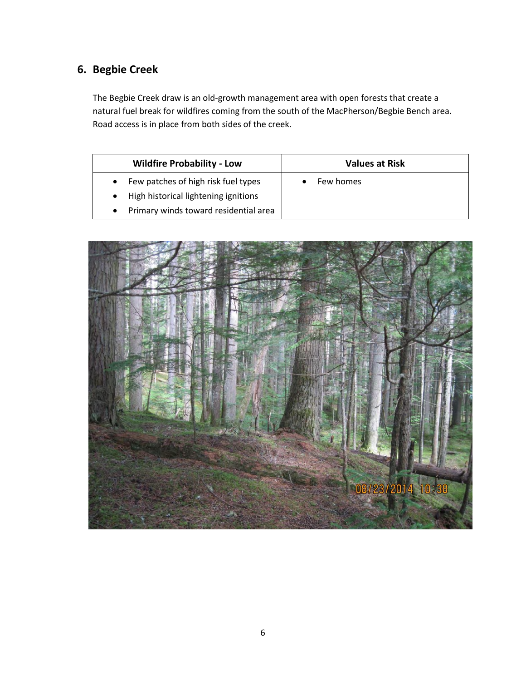# **6. Begbie Creek**

The Begbie Creek draw is an old-growth management area with open forests that create a natural fuel break for wildfires coming from the south of the MacPherson/Begbie Bench area. Road access is in place from both sides of the creek.

| <b>Wildfire Probability - Low</b>                                                                                                              | <b>Values at Risk</b> |
|------------------------------------------------------------------------------------------------------------------------------------------------|-----------------------|
| Few patches of high risk fuel types<br>$\bullet$<br>High historical lightening ignitions<br>$\bullet$<br>Primary winds toward residential area | Few homes             |

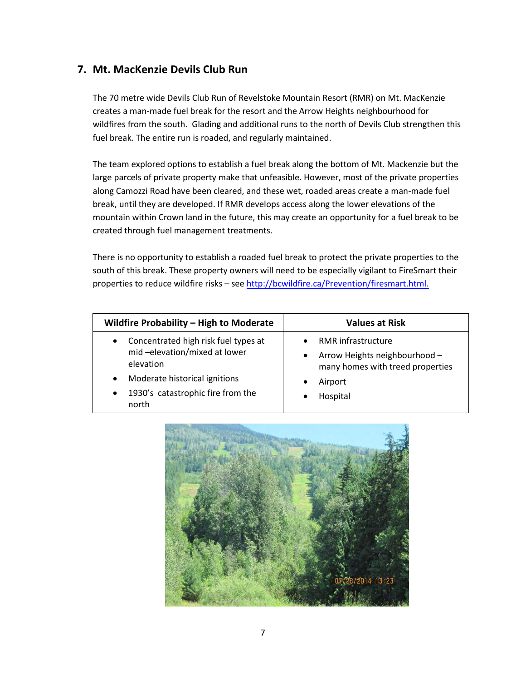#### **7. Mt. MacKenzie Devils Club Run**

The 70 metre wide Devils Club Run of Revelstoke Mountain Resort (RMR) on Mt. MacKenzie creates a man-made fuel break for the resort and the Arrow Heights neighbourhood for wildfires from the south. Glading and additional runs to the north of Devils Club strengthen this fuel break. The entire run is roaded, and regularly maintained.

The team explored options to establish a fuel break along the bottom of Mt. Mackenzie but the large parcels of private property make that unfeasible. However, most of the private properties along Camozzi Road have been cleared, and these wet, roaded areas create a man-made fuel break, until they are developed. If RMR develops access along the lower elevations of the mountain within Crown land in the future, this may create an opportunity for a fuel break to be created through fuel management treatments.

There is no opportunity to establish a roaded fuel break to protect the private properties to the south of this break. These property owners will need to be especially vigilant to FireSmart their properties to reduce wildfire risks - see [http://bcwildfire.ca/Prevention/firesmart.html.](http://bcwildfire.ca/Prevention/firesmart.html)

| Wildfire Probability - High to Moderate                                                                                                                                                                 | <b>Values at Risk</b>                                                                                                              |
|---------------------------------------------------------------------------------------------------------------------------------------------------------------------------------------------------------|------------------------------------------------------------------------------------------------------------------------------------|
| Concentrated high risk fuel types at<br>$\bullet$<br>mid-elevation/mixed at lower<br>elevation<br>Moderate historical ignitions<br>$\bullet$<br>1930's catastrophic fire from the<br>$\bullet$<br>north | <b>RMR</b> infrastructure<br>Arrow Heights neighbourhood -<br>$\bullet$<br>many homes with treed properties<br>Airport<br>Hospital |

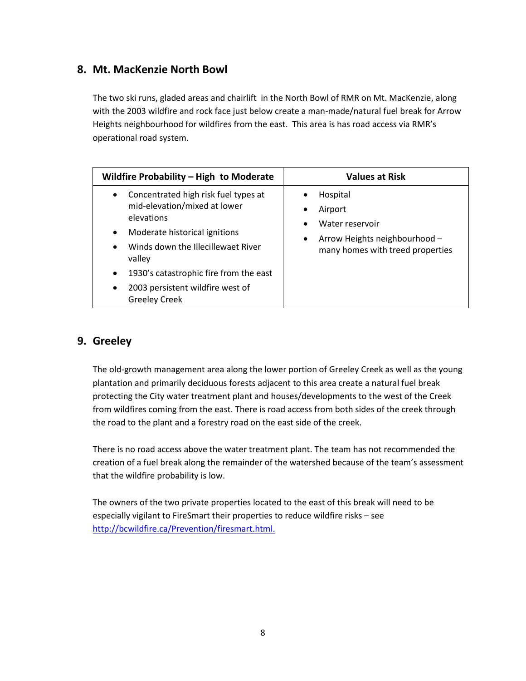#### **8. Mt. MacKenzie North Bowl**

The two ski runs, gladed areas and chairlift in the North Bowl of RMR on Mt. MacKenzie, along with the 2003 wildfire and rock face just below create a man-made/natural fuel break for Arrow Heights neighbourhood for wildfires from the east. This area is has road access via RMR's operational road system.

| Wildfire Probability - High to Moderate                                                                                                                                                                                                                                                                                                    | <b>Values at Risk</b>                                                                                                         |
|--------------------------------------------------------------------------------------------------------------------------------------------------------------------------------------------------------------------------------------------------------------------------------------------------------------------------------------------|-------------------------------------------------------------------------------------------------------------------------------|
| Concentrated high risk fuel types at<br>$\bullet$<br>mid-elevation/mixed at lower<br>elevations<br>Moderate historical ignitions<br>$\bullet$<br>Winds down the Illecillewaet River<br>$\bullet$<br>valley<br>1930's catastrophic fire from the east<br>$\bullet$<br>2003 persistent wildfire west of<br>$\bullet$<br><b>Greeley Creek</b> | Hospital<br>Airport<br>٠<br>Water reservoir<br>Arrow Heights neighbourhood -<br>$\bullet$<br>many homes with treed properties |

## **9. Greeley**

The old-growth management area along the lower portion of Greeley Creek as well as the young plantation and primarily deciduous forests adjacent to this area create a natural fuel break protecting the City water treatment plant and houses/developments to the west of the Creek from wildfires coming from the east. There is road access from both sides of the creek through the road to the plant and a forestry road on the east side of the creek.

There is no road access above the water treatment plant. The team has not recommended the creation of a fuel break along the remainder of the watershed because of the team's assessment that the wildfire probability is low.

The owners of the two private properties located to the east of this break will need to be especially vigilant to FireSmart their properties to reduce wildfire risks – see [http://bcwildfire.ca/Prevention/firesmart.html.](http://bcwildfire.ca/Prevention/firesmart.html)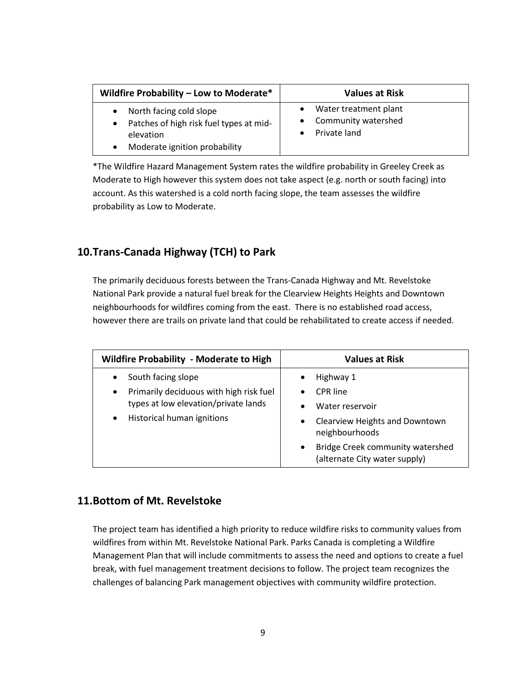| Wildfire Probability - Low to Moderate*                                                                                       | <b>Values at Risk</b>                                                     |
|-------------------------------------------------------------------------------------------------------------------------------|---------------------------------------------------------------------------|
| North facing cold slope<br>Patches of high risk fuel types at mid-<br>$\bullet$<br>elevation<br>Moderate ignition probability | Water treatment plant<br>$\bullet$<br>Community watershed<br>Private land |

\*The Wildfire Hazard Management System rates the wildfire probability in Greeley Creek as Moderate to High however this system does not take aspect (e.g. north or south facing) into account. As this watershed is a cold north facing slope, the team assesses the wildfire probability as Low to Moderate.

#### **10.Trans-Canada Highway (TCH) to Park**

The primarily deciduous forests between the Trans-Canada Highway and Mt. Revelstoke National Park provide a natural fuel break for the Clearview Heights Heights and Downtown neighbourhoods for wildfires coming from the east. There is no established road access, however there are trails on private land that could be rehabilitated to create access if needed.

| <b>Wildfire Probability - Moderate to High</b>       | <b>Values at Risk</b>                                                          |
|------------------------------------------------------|--------------------------------------------------------------------------------|
| South facing slope<br>$\bullet$                      | Highway 1<br>٠                                                                 |
| Primarily deciduous with high risk fuel<br>$\bullet$ | <b>CPR</b> line<br>$\bullet$                                                   |
| types at low elevation/private lands                 | Water reservoir<br>$\bullet$                                                   |
| Historical human ignitions<br>$\bullet$              | <b>Clearview Heights and Downtown</b><br>٠<br>neighbourhoods                   |
|                                                      | Bridge Creek community watershed<br>$\bullet$<br>(alternate City water supply) |

#### **11.Bottom of Mt. Revelstoke**

The project team has identified a high priority to reduce wildfire risks to community values from wildfires from within Mt. Revelstoke National Park. Parks Canada is completing a Wildfire Management Plan that will include commitments to assess the need and options to create a fuel break, with fuel management treatment decisions to follow. The project team recognizes the challenges of balancing Park management objectives with community wildfire protection.